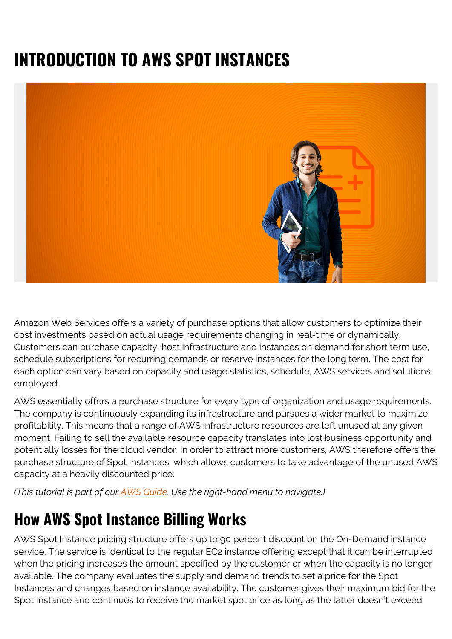## **INTRODUCTION TO AWS SPOT INSTANCES**



Amazon Web Services offers a variety of purchase options that allow customers to optimize their cost investments based on actual usage requirements changing in real-time or dynamically. Customers can purchase capacity, host infrastructure and instances on demand for short term use, schedule subscriptions for recurring demands or reserve instances for the long term. The cost for each option can vary based on capacity and usage statistics, schedule, AWS services and solutions employed.

AWS essentially offers a purchase structure for every type of organization and usage requirements. The company is continuously expanding its infrastructure and pursues a wider market to maximize profitability. This means that a range of AWS infrastructure resources are left unused at any given moment. Failing to sell the available resource capacity translates into lost business opportunity and potentially losses for the cloud vendor. In order to attract more customers, AWS therefore offers the purchase structure of Spot Instances, which allows customers to take advantage of the unused AWS capacity at a heavily discounted price.

*(This tutorial is part of our [AWS Guide](https://blogs.bmc.com/blogs/aws-serverless-applications/). Use the right-hand menu to navigate.)*

## **How AWS Spot Instance Billing Works**

AWS Spot Instance pricing structure offers up to 90 percent discount on the On-Demand instance service. The service is identical to the regular EC2 instance offering except that it can be interrupted when the pricing increases the amount specified by the customer or when the capacity is no longer available. The company evaluates the supply and demand trends to set a price for the Spot Instances and changes based on instance availability. The customer gives their maximum bid for the Spot Instance and continues to receive the market spot price as long as the latter doesn't exceed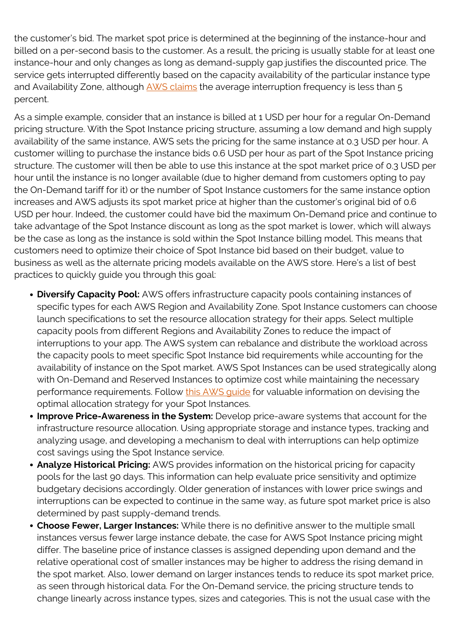the customer's bid. The market spot price is determined at the beginning of the instance-hour and billed on a per-second basis to the customer. As a result, the pricing is usually stable for at least one instance-hour and only changes as long as demand-supply gap justifies the discounted price. The service gets interrupted differently based on the capacity availability of the particular instance type and Availability Zone, although [AWS claims](https://aws.amazon.com/ec2/spot/instance-advisor/) the average interruption frequency is less than 5 percent.

As a simple example, consider that an instance is billed at 1 USD per hour for a regular On-Demand pricing structure. With the Spot Instance pricing structure, assuming a low demand and high supply availability of the same instance, AWS sets the pricing for the same instance at 0.3 USD per hour. A customer willing to purchase the instance bids 0.6 USD per hour as part of the Spot Instance pricing structure. The customer will then be able to use this instance at the spot market price of 0.3 USD per hour until the instance is no longer available (due to higher demand from customers opting to pay the On-Demand tariff for it) or the number of Spot Instance customers for the same instance option increases and AWS adjusts its spot market price at higher than the customer's original bid of 0.6 USD per hour. Indeed, the customer could have bid the maximum On-Demand price and continue to take advantage of the Spot Instance discount as long as the spot market is lower, which will always be the case as long as the instance is sold within the Spot Instance billing model. This means that customers need to optimize their choice of Spot Instance bid based on their budget, value to business as well as the alternate pricing models available on the AWS store. Here's a list of best practices to quickly guide you through this goal:

- **Diversify Capacity Pool:** AWS offers infrastructure capacity pools containing instances of specific types for each AWS Region and Availability Zone. Spot Instance customers can choose launch specifications to set the resource allocation strategy for their apps. Select multiple capacity pools from different Regions and Availability Zones to reduce the impact of interruptions to your app. The AWS system can rebalance and distribute the workload across the capacity pools to meet specific Spot Instance bid requirements while accounting for the availability of instance on the Spot market. AWS Spot Instances can be used strategically along with On-Demand and Reserved Instances to optimize cost while maintaining the necessary performance requirements. Follow this AWS quide for valuable information on devising the optimal allocation strategy for your Spot Instances.
- **Improve Price-Awareness in the System:** Develop price-aware systems that account for the infrastructure resource allocation. Using appropriate storage and instance types, tracking and analyzing usage, and developing a mechanism to deal with interruptions can help optimize cost savings using the Spot Instance service.
- **Analyze Historical Pricing:** AWS provides information on the historical pricing for capacity pools for the last 90 days. This information can help evaluate price sensitivity and optimize budgetary decisions accordingly. Older generation of instances with lower price swings and interruptions can be expected to continue in the same way, as future spot market price is also determined by past supply-demand trends.
- **Choose Fewer, Larger Instances:** While there is no definitive answer to the multiple small instances versus fewer large instance debate, the case for AWS Spot Instance pricing might differ. The baseline price of instance classes is assigned depending upon demand and the relative operational cost of smaller instances may be higher to address the rising demand in the spot market. Also, lower demand on larger instances tends to reduce its spot market price, as seen through historical data. For the On-Demand service, the pricing structure tends to change linearly across instance types, sizes and categories. This is not the usual case with the